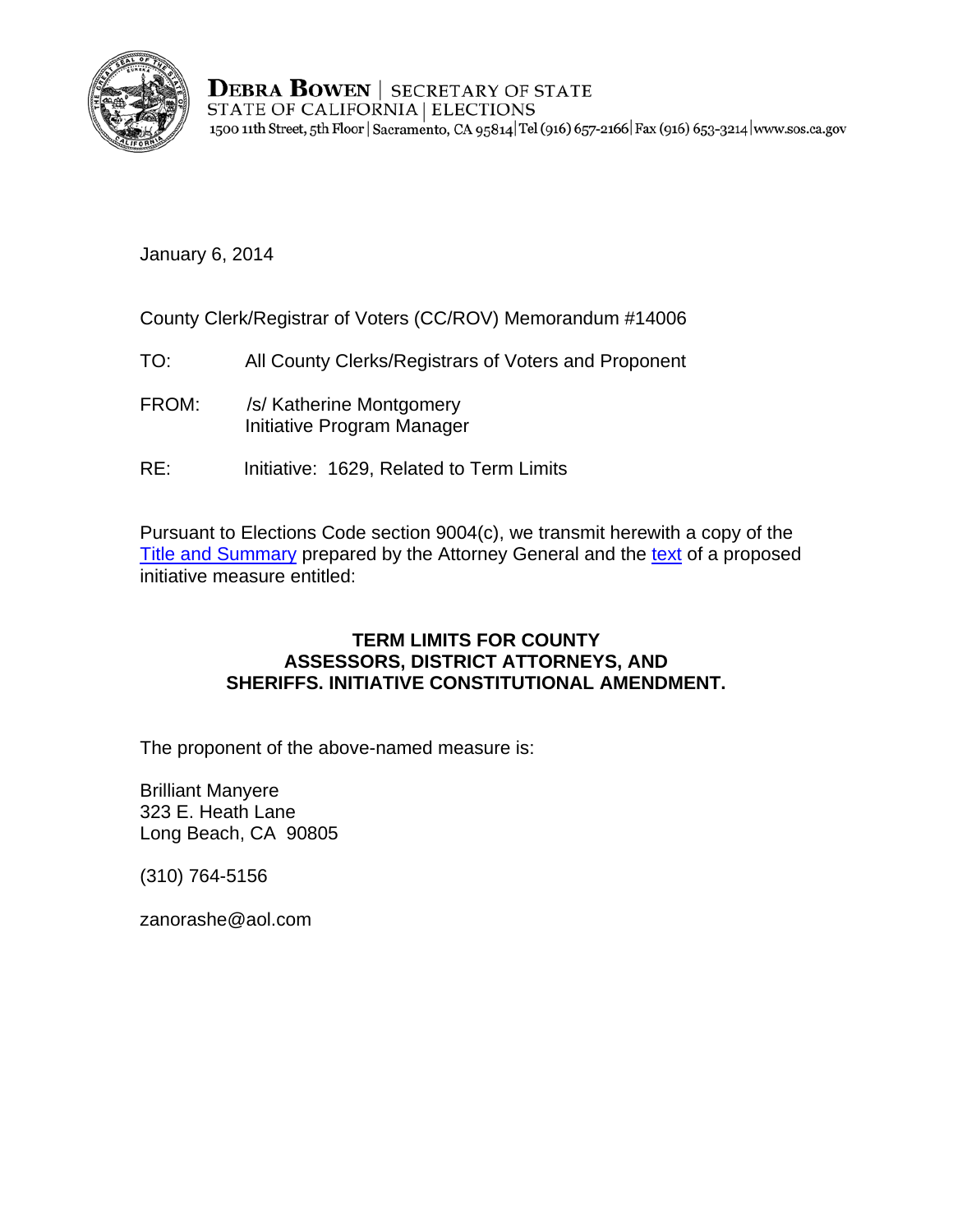

**DEBRA BOWEN | SECRETARY OF STATE** STATE OF CALIFORNIA | ELECTIONS 1500 11th Street, 5th Floor | Sacramento, CA 95814 Tel (916) 657-2166 Fax (916) 653-3214 | www.sos.ca.gov

January 6, 2014

County Clerk/Registrar of Voters (CC/ROV) Memorandum #14006

- TO: All County Clerks/Registrars of Voters and Proponent
- FROM: /s/ Katherine Montgomery Initiative Program Manager
- RE: Initiative: 1629, Related to Term Limits

Pursuant to Elections Code section 9004(c), we transmit herewith a copy of the [Title and Summary](http://oag.ca.gov/system/files/initiatives/pdfs/Title%20and%20Summary%20%2813-0044%29.pdf?) prepared by the Attorney General and the [text](http://oag.ca.gov/system/files/initiatives/pdfs/13-0044%20%2813-0044%20%28Term%20Limits%29%29.pdf?) of a proposed initiative measure entitled:

## **TERM LIMITS FOR COUNTY ASSESSORS, DISTRICT ATTORNEYS, AND SHERIFFS. INITIATIVE CONSTITUTIONAL AMENDMENT.**

The proponent of the above-named measure is:

Brilliant Manyere 323 E. Heath Lane Long Beach, CA 90805

(310) 764-5156

zanorashe@aol.com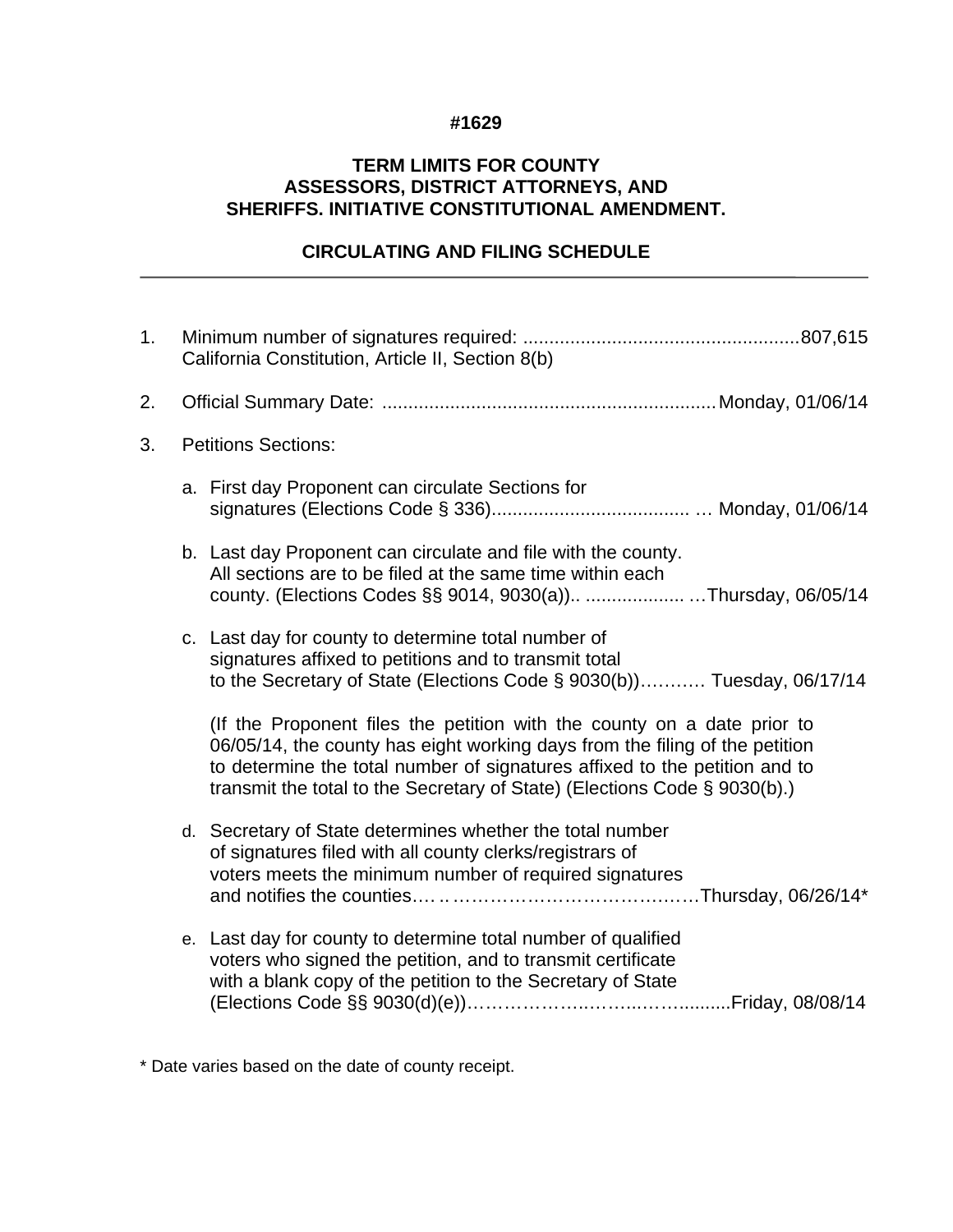## **#1629**

## **TERM LIMITS FOR COUNTY ASSESSORS, DISTRICT ATTORNEYS, AND SHERIFFS. INITIATIVE CONSTITUTIONAL AMENDMENT.**

## **CIRCULATING AND FILING SCHEDULE**

| 1. | California Constitution, Article II, Section 8(b) |                                                                                                                                                                                                                                                                                                                   |
|----|---------------------------------------------------|-------------------------------------------------------------------------------------------------------------------------------------------------------------------------------------------------------------------------------------------------------------------------------------------------------------------|
| 2. |                                                   |                                                                                                                                                                                                                                                                                                                   |
| 3. | <b>Petitions Sections:</b>                        |                                                                                                                                                                                                                                                                                                                   |
|    |                                                   | a. First day Proponent can circulate Sections for                                                                                                                                                                                                                                                                 |
|    |                                                   | b. Last day Proponent can circulate and file with the county.<br>All sections are to be filed at the same time within each<br>county. (Elections Codes §§ 9014, 9030(a)) Thursday, 06/05/14                                                                                                                       |
|    |                                                   | c. Last day for county to determine total number of<br>signatures affixed to petitions and to transmit total<br>to the Secretary of State (Elections Code § 9030(b)) Tuesday, 06/17/14                                                                                                                            |
|    |                                                   | (If the Proponent files the petition with the county on a date prior to<br>06/05/14, the county has eight working days from the filing of the petition<br>to determine the total number of signatures affixed to the petition and to<br>transmit the total to the Secretary of State) (Elections Code § 9030(b).) |
|    |                                                   | d. Secretary of State determines whether the total number<br>of signatures filed with all county clerks/registrars of<br>voters meets the minimum number of required signatures                                                                                                                                   |
|    |                                                   | e. Last day for county to determine total number of qualified<br>voters who signed the petition, and to transmit certificate<br>with a blank copy of the petition to the Secretary of State                                                                                                                       |

\* Date varies based on the date of county receipt.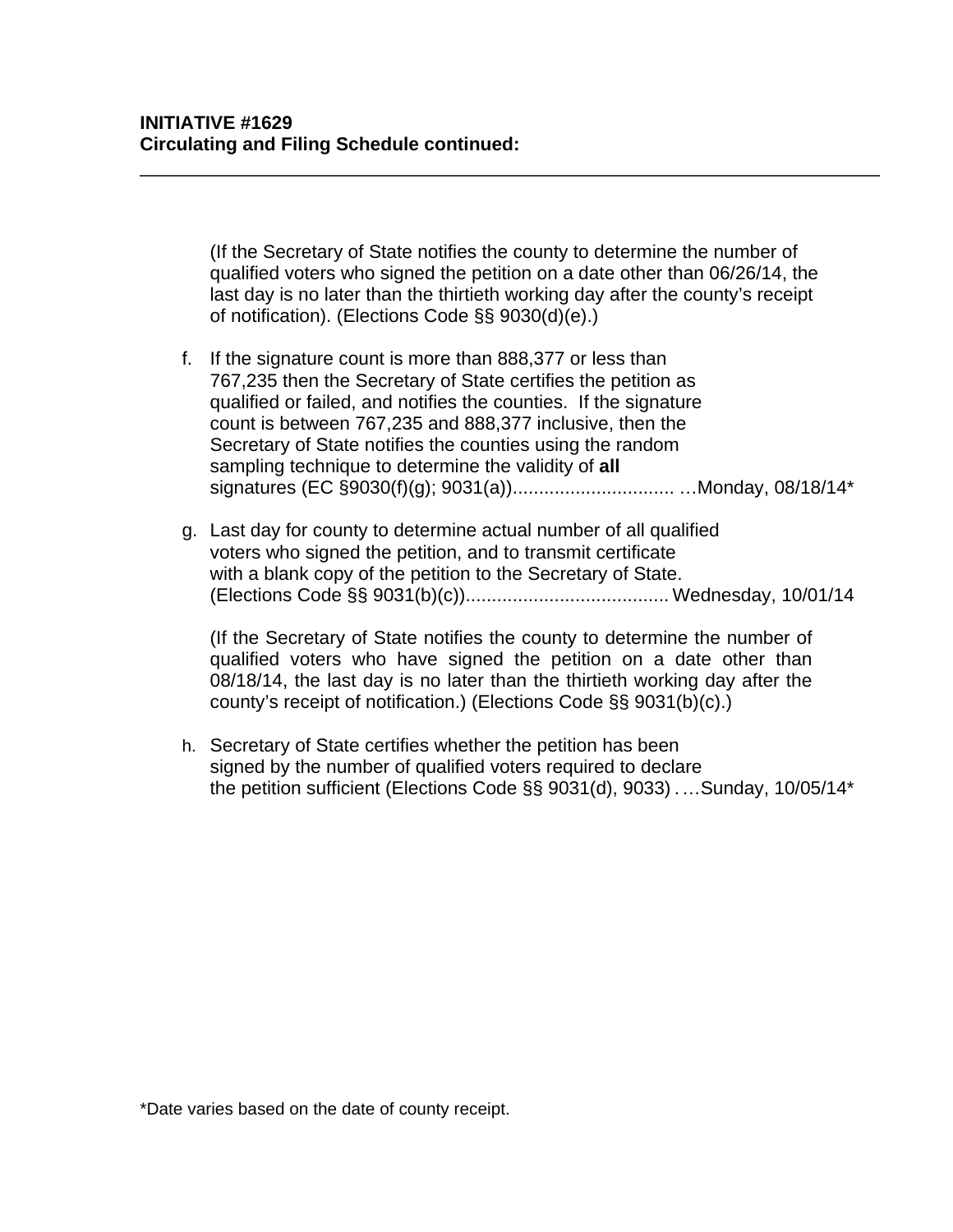(If the Secretary of State notifies the county to determine the number of qualified voters who signed the petition on a date other than 06/26/14, the last day is no later than the thirtieth working day after the county's receipt of notification). (Elections Code §§ 9030(d)(e).)

- f. If the signature count is more than 888,377 or less than 767,235 then the Secretary of State certifies the petition as qualified or failed, and notifies the counties. If the signature count is between 767,235 and 888,377 inclusive, then the Secretary of State notifies the counties using the random sampling technique to determine the validity of **all**  signatures (EC §9030(f)(g); 9031(a))............................... …Monday, 08/18/14\*
- g. Last day for county to determine actual number of all qualified voters who signed the petition, and to transmit certificate with a blank copy of the petition to the Secretary of State. (Elections Code §§ 9031(b)(c))....................................... Wednesday, 10/01/14

(If the Secretary of State notifies the county to determine the number of qualified voters who have signed the petition on a date other than 08/18/14, the last day is no later than the thirtieth working day after the county's receipt of notification.) (Elections Code §§ 9031(b)(c).)

h. Secretary of State certifies whether the petition has been signed by the number of qualified voters required to declare the petition sufficient (Elections Code §§ 9031(d), 9033) .…Sunday, 10/05/14\*

\*Date varies based on the date of county receipt.